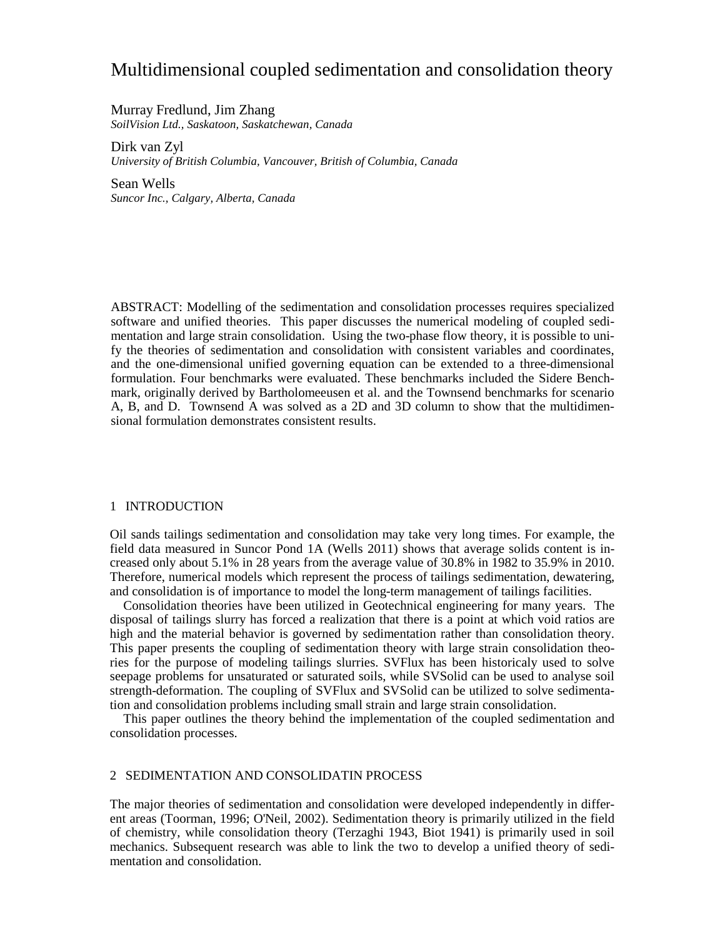# Multidimensional coupled sedimentation and consolidation theory

Murray Fredlund, Jim Zhang *SoilVision Ltd., Saskatoon, Saskatchewan, Canada*

Dirk van Zyl *University of British Columbia, Vancouver, British of Columbia, Canada*

Sean Wells *Suncor Inc., Calgary, Alberta, Canada*

ABSTRACT: Modelling of the sedimentation and consolidation processes requires specialized software and unified theories. This paper discusses the numerical modeling of coupled sedimentation and large strain consolidation. Using the two-phase flow theory, it is possible to unify the theories of sedimentation and consolidation with consistent variables and coordinates, and the one-dimensional unified governing equation can be extended to a three-dimensional formulation. Four benchmarks were evaluated. These benchmarks included the Sidere Benchmark, originally derived by Bartholomeeusen et al. and the Townsend benchmarks for scenario A, B, and D. Townsend A was solved as a 2D and 3D column to show that the multidimensional formulation demonstrates consistent results.

## 1 INTRODUCTION

Oil sands tailings sedimentation and consolidation may take very long times. For example, the field data measured in Suncor Pond 1A (Wells 2011) shows that average solids content is increased only about 5.1% in 28 years from the average value of 30.8% in 1982 to 35.9% in 2010. Therefore, numerical models which represent the process of tailings sedimentation, dewatering, and consolidation is of importance to model the long-term management of tailings facilities.

Consolidation theories have been utilized in Geotechnical engineering for many years. The disposal of tailings slurry has forced a realization that there is a point at which void ratios are high and the material behavior is governed by sedimentation rather than consolidation theory. This paper presents the coupling of sedimentation theory with large strain consolidation theories for the purpose of modeling tailings slurries. SVFlux has been historicaly used to solve seepage problems for unsaturated or saturated soils, while SVSolid can be used to analyse soil strength-deformation. The coupling of SVFlux and SVSolid can be utilized to solve sedimentation and consolidation problems including small strain and large strain consolidation.

This paper outlines the theory behind the implementation of the coupled sedimentation and consolidation processes.

# 2 SEDIMENTATION AND CONSOLIDATIN PROCESS

The major theories of sedimentation and consolidation were developed independently in different areas (Toorman, 1996; O'Neil, 2002). Sedimentation theory is primarily utilized in the field of chemistry, while consolidation theory (Terzaghi 1943, Biot 1941) is primarily used in soil mechanics. Subsequent research was able to link the two to develop a unified theory of sedimentation and consolidation.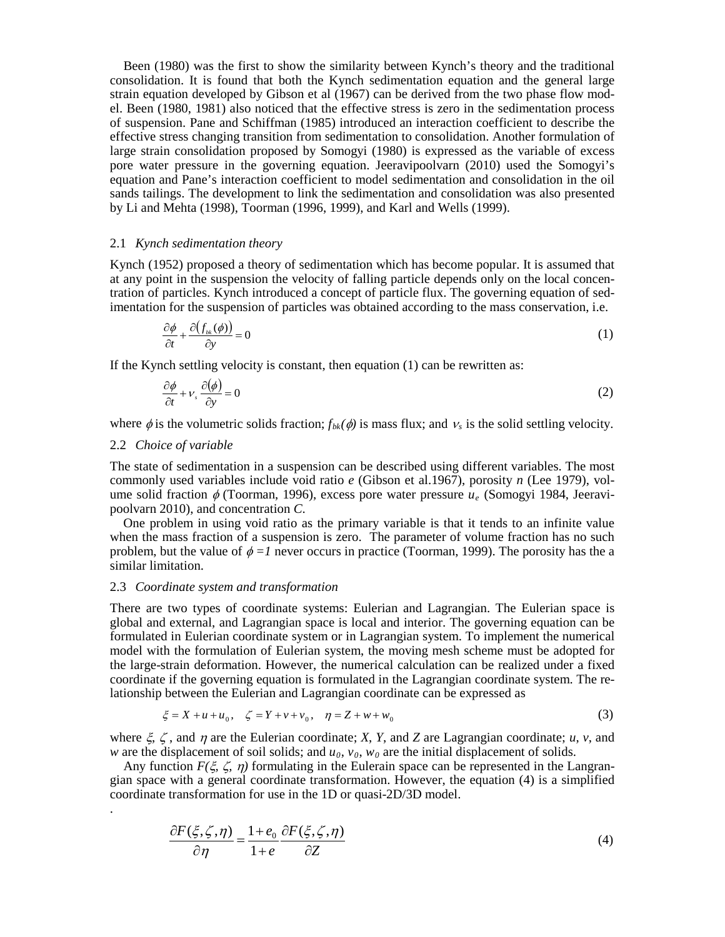Been (1980) was the first to show the similarity between Kynch's theory and the traditional consolidation. It is found that both the Kynch sedimentation equation and the general large strain equation developed by Gibson et al (1967) can be derived from the two phase flow model. Been (1980, 1981) also noticed that the effective stress is zero in the sedimentation process of suspension. Pane and Schiffman (1985) introduced an interaction coefficient to describe the effective stress changing transition from sedimentation to consolidation. Another formulation of large strain consolidation proposed by Somogyi (1980) is expressed as the variable of excess pore water pressure in the governing equation. Jeeravipoolvarn (2010) used the Somogyi's equation and Pane's interaction coefficient to model sedimentation and consolidation in the oil sands tailings. The development to link the sedimentation and consolidation was also presented by Li and Mehta (1998), Toorman (1996, 1999), and Karl and Wells (1999).

## 2.1 *Kynch sedimentation theory*

Kynch (1952) proposed a theory of sedimentation which has become popular. It is assumed that at any point in the suspension the velocity of falling particle depends only on the local concentration of particles. Kynch introduced a concept of particle flux. The governing equation of sedimentation for the suspension of particles was obtained according to the mass conservation, i.e.

$$
\frac{\partial \phi}{\partial t} + \frac{\partial (f_{\scriptscriptstyle{bk}}(\phi))}{\partial y} = 0 \tag{1}
$$

If the Kynch settling velocity is constant, then equation  $(1)$  can be rewritten as:

$$
\frac{\partial \phi}{\partial t} + v_s \frac{\partial (\phi)}{\partial y} = 0
$$
 (2)

where  $\phi$  is the volumetric solids fraction;  $f_{bk}(\phi)$  is mass flux; and  $v_s$  is the solid settling velocity.

#### 2.2 *Choice of variable*

.

The state of sedimentation in a suspension can be described using different variables. The most commonly used variables include void ratio *e* (Gibson et al.1967), porosity *n* (Lee 1979), volume solid fraction φ (Toorman, 1996), excess pore water pressure *ue* (Somogyi 1984, Jeeravipoolvarn 2010), and concentration *C*.

One problem in using void ratio as the primary variable is that it tends to an infinite value when the mass fraction of a suspension is zero. The parameter of volume fraction has no such problem, but the value of  $\phi = 1$  never occurs in practice (Toorman, 1999). The porosity has the a similar limitation.

## 2.3 *Coordinate system and transformation*

There are two types of coordinate systems: Eulerian and Lagrangian. The Eulerian space is global and external, and Lagrangian space is local and interior. The governing equation can be formulated in Eulerian coordinate system or in Lagrangian system. To implement the numerical model with the formulation of Eulerian system, the moving mesh scheme must be adopted for the large-strain deformation. However, the numerical calculation can be realized under a fixed coordinate if the governing equation is formulated in the Lagrangian coordinate system. The relationship between the Eulerian and Lagrangian coordinate can be expressed as

$$
\xi = X + u + u_0, \quad \zeta = Y + v + v_0, \quad \eta = Z + w + w_0 \tag{3}
$$

where ξ, ζ , and <sup>η</sup> are the Eulerian coordinate; *X*, *Y*, and *Z* are Lagrangian coordinate; *u*, *v*, and *w* are the displacement of soil solids; and  $u_0$ ,  $v_0$ ,  $w_0$  are the initial displacement of solids.

Any function *F(*ξ*,* ζ*,* η*)* formulating in the Eulerain space can be represented in the Langrangian space with a general coordinate transformation. However, the equation (4) is a simplified coordinate transformation for use in the 1D or quasi-2D/3D model.

$$
\frac{\partial F(\xi,\zeta,\eta)}{\partial \eta} = \frac{1+e_0}{1+e} \frac{\partial F(\xi,\zeta,\eta)}{\partial Z}
$$
(4)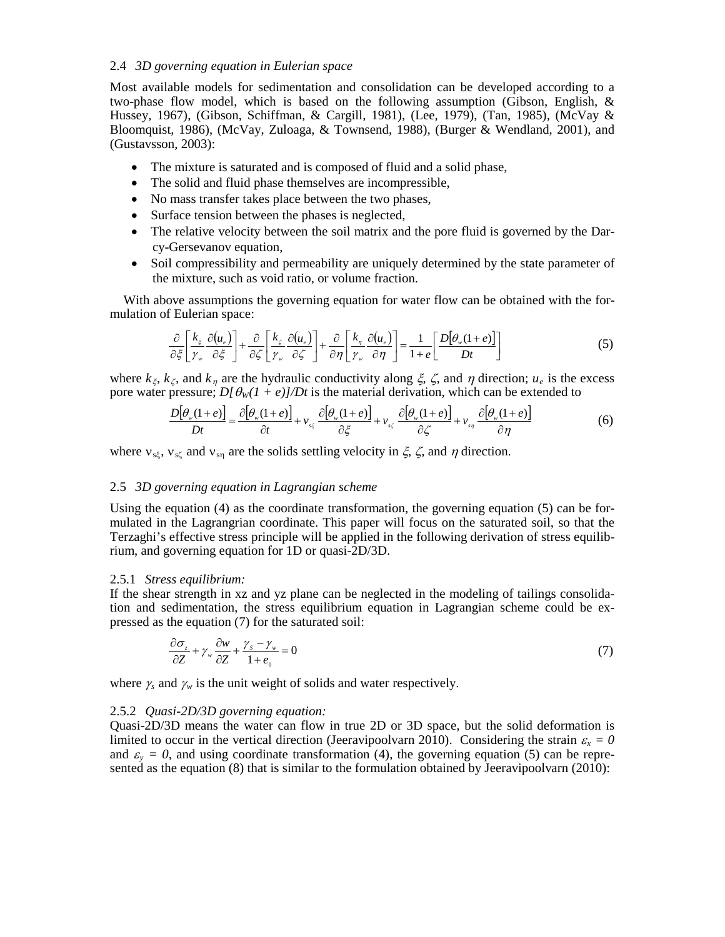## 2.4 *3D governing equation in Eulerian space*

Most available models for sedimentation and consolidation can be developed according to a two-phase flow model, which is based on the following assumption (Gibson, English, & Hussey, 1967), (Gibson, Schiffman, & Cargill, 1981), (Lee, 1979), (Tan, 1985), (McVay & Bloomquist, 1986), (McVay, Zuloaga, & Townsend, 1988), (Burger & Wendland, 2001), and (Gustavsson, 2003):

- The mixture is saturated and is composed of fluid and a solid phase,
- The solid and fluid phase themselves are incompressible,
- No mass transfer takes place between the two phases,
- Surface tension between the phases is neglected,
- The relative velocity between the soil matrix and the pore fluid is governed by the Darcy-Gersevanov equation,
- Soil compressibility and permeability are uniquely determined by the state parameter of the mixture, such as void ratio, or volume fraction.

With above assumptions the governing equation for water flow can be obtained with the formulation of Eulerian space:

$$
\frac{\partial}{\partial \xi} \left[ \frac{k_{\xi}}{\gamma_{w}} \frac{\partial (u_{\epsilon})}{\partial \xi} \right] + \frac{\partial}{\partial \zeta} \left[ \frac{k_{\zeta}}{\gamma_{w}} \frac{\partial (u_{\epsilon})}{\partial \zeta} \right] + \frac{\partial}{\partial \eta} \left[ \frac{k_{\eta}}{\gamma_{w}} \frac{\partial (u_{\epsilon})}{\partial \eta} \right] = \frac{1}{1 + e} \left[ \frac{D[\theta_{w}(1 + e)]}{Dt} \right]
$$
(5)

where  $k_{\xi}$ ,  $k_{\zeta}$ , and  $k_{\eta}$  are the hydraulic conductivity along  $\xi$ ,  $\zeta$ , and  $\eta$  direction;  $u_{e}$  is the excess pore water pressure;  $D[\theta_w(1 + e)]/Dt$  is the material derivation, which can be extended to

$$
\frac{D[\theta_w(1+e)]}{Dt} = \frac{\partial[\theta_w(1+e)]}{\partial t} + v_{s\xi} \frac{\partial[\theta_w(1+e)]}{\partial \xi} + v_{s\xi} \frac{\partial[\theta_w(1+e)]}{\partial \zeta} + v_{s\eta} \frac{\partial[\theta_w(1+e)]}{\partial \eta}
$$
(6)

where  $v_{s\xi}$ ,  $v_{s\zeta}$  and  $v_{s\eta}$  are the solids settling velocity in  $\xi$ ,  $\zeta$ , and  $\eta$  direction.

## 2.5 *3D governing equation in Lagrangian scheme*

Using the equation (4) as the coordinate transformation, the governing equation (5) can be formulated in the Lagrangrian coordinate. This paper will focus on the saturated soil, so that the Terzaghi's effective stress principle will be applied in the following derivation of stress equilibrium, and governing equation for 1D or quasi-2D/3D.

#### 2.5.1 *Stress equilibrium:*

If the shear strength in xz and yz plane can be neglected in the modeling of tailings consolidation and sedimentation, the stress equilibrium equation in Lagrangian scheme could be expressed as the equation (7) for the saturated soil:

$$
\frac{\partial \sigma_z}{\partial Z} + \gamma_w \frac{\partial w}{\partial Z} + \frac{\gamma_s - \gamma_w}{1 + e_0} = 0 \tag{7}
$$

where  $\gamma_s$  and  $\gamma_w$  is the unit weight of solids and water respectively.

#### 2.5.2 *Quasi-2D/3D governing equation:*

Quasi-2D/3D means the water can flow in true 2D or 3D space, but the solid deformation is limited to occur in the vertical direction (Jeeravipoolvarn 2010). Considering the strain  $\varepsilon_x = 0$ and  $\varepsilon$ <sub>y</sub> = 0, and using coordinate transformation (4), the governing equation (5) can be represented as the equation (8) that is similar to the formulation obtained by Jeeravipoolvarn (2010):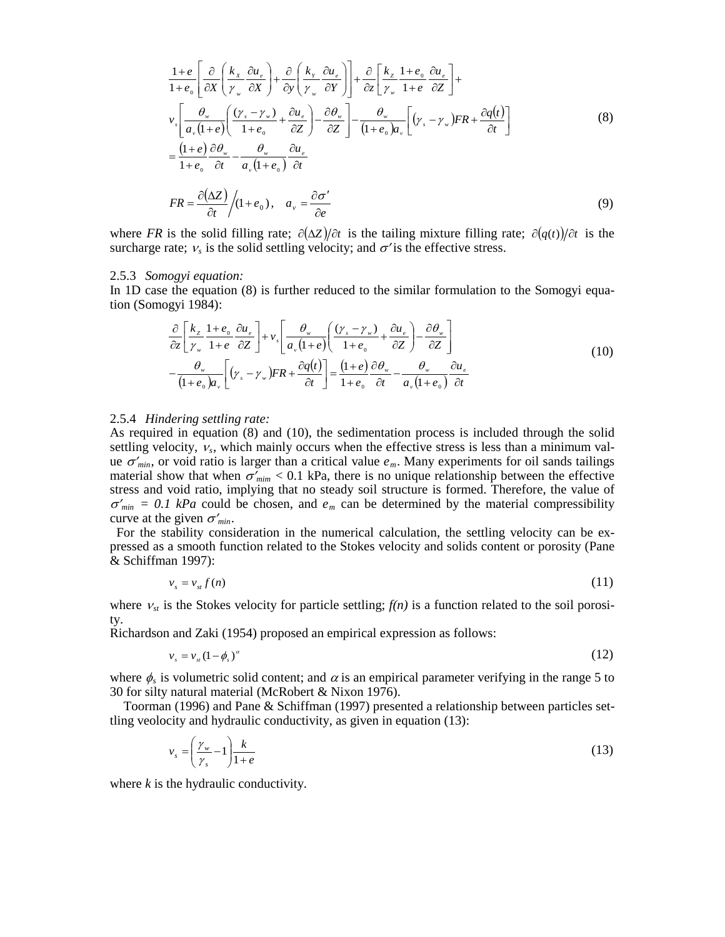$$
\frac{1+e}{1+e_0} \left[ \frac{\partial}{\partial X} \left( \frac{k_x}{\gamma_w} \frac{\partial u_e}{\partial X} \right) + \frac{\partial}{\partial y} \left( \frac{k_y}{\gamma_w} \frac{\partial u_e}{\partial Y} \right) \right] + \frac{\partial}{\partial z} \left[ \frac{k_z}{\gamma_w} \frac{1+e_0}{1+e} \frac{\partial u_e}{\partial Z} \right] +
$$
\n
$$
v_s \left[ \frac{\theta_w}{a_v (1+e)} \left( \frac{(\gamma_s - \gamma_w)}{1+e_0} + \frac{\partial u_e}{\partial Z} \right) - \frac{\partial \theta_w}{\partial Z} \right] - \frac{\theta_w}{(1+e_0)a_v} \left[ (\gamma_s - \gamma_w)FR + \frac{\partial q(t)}{\partial t} \right]
$$
\n
$$
= \frac{(1+e)}{1+e_0} \frac{\partial \theta_w}{\partial t} - \frac{\theta_w}{a_v (1+e_0)} \frac{\partial u_e}{\partial t}
$$
\n
$$
FR = \frac{\partial (\Delta Z)}{\partial (1+e_0)} \frac{(\Delta Z)}{\partial (1+e_0)} - \frac{\partial \sigma'}{\partial (1+e_0)} \frac{\partial \theta_w}{\partial t}
$$
\n(9)

$$
FR = \frac{\partial (\Delta Z)}{\partial t} / (1 + e_0), \quad a_v = \frac{\partial \sigma'}{\partial e}
$$
 (9)

where *FR* is the solid filling rate;  $\partial(\Delta Z)/\partial t$  is the tailing mixture filling rate;  $\partial(q(t))/\partial t$  is the surcharge rate;  $v_s$  is the solid settling velocity; and  $\sigma$ ' is the effective stress.

#### 2.5.3 *Somogyi equation:*

In 1D case the equation (8) is further reduced to the similar formulation to the Somogyi equation (Somogyi 1984):

$$
\frac{\partial}{\partial z} \left[ \frac{k_z}{\gamma_w} \frac{1 + e_0}{1 + e} \frac{\partial u_\epsilon}{\partial z} \right] + v_s \left[ \frac{\theta_w}{a_v (1 + e)} \left( \frac{(\gamma_s - \gamma_w)}{1 + e_0} + \frac{\partial u_\epsilon}{\partial z} \right) - \frac{\partial \theta_w}{\partial z} \right] \n- \frac{\theta_w}{(1 + e_0) a_v} \left[ (\gamma_s - \gamma_w) FR + \frac{\partial q(t)}{\partial t} \right] = \frac{(1 + e_0) \partial \theta_w}{1 + e_0} - \frac{\theta_w}{\partial t} - \frac{\partial u_\epsilon}{a_v (1 + e_0)} \frac{\partial u_\epsilon}{\partial t}
$$
\n(10)

## 2.5.4 *Hindering settling rate:*

As required in equation (8) and (10), the sedimentation process is included through the solid settling velocity, <sup>ν</sup>*s*, which mainly occurs when the effective stress is less than a minimum value  $\sigma'_{min}$ , or void ratio is larger than a critical value  $e_m$ . Many experiments for oil sands tailings material show that when  $\sigma'_{min}$  < 0.1 kPa, there is no unique relationship between the effective stress and void ratio, implying that no steady soil structure is formed. Therefore, the value of  $\sigma'_{min} = 0.1$  kPa could be chosen, and  $e_m$  can be determined by the material compressibility curve at the given  $\sigma'_{min}$ .

 For the stability consideration in the numerical calculation, the settling velocity can be expressed as a smooth function related to the Stokes velocity and solids content or porosity (Pane & Schiffman 1997):

$$
v_s = v_{st} f(n) \tag{11}
$$

where  $v_{st}$  is the Stokes velocity for particle settling;  $f(n)$  is a function related to the soil porosity.

Richardson and Zaki (1954) proposed an empirical expression as follows:

$$
v_s = v_{st} (1 - \phi_s)^{\alpha} \tag{12}
$$

where  $\phi_s$  is volumetric solid content; and  $\alpha$  is an empirical parameter verifying in the range 5 to 30 for silty natural material (McRobert & Nixon 1976).

Toorman (1996) and Pane & Schiffman (1997) presented a relationship between particles settling veolocity and hydraulic conductivity, as given in equation (13):

$$
v_s = \left(\frac{\gamma_w}{\gamma_s} - 1\right) \frac{k}{1 + e} \tag{13}
$$

where *k* is the hydraulic conductivity.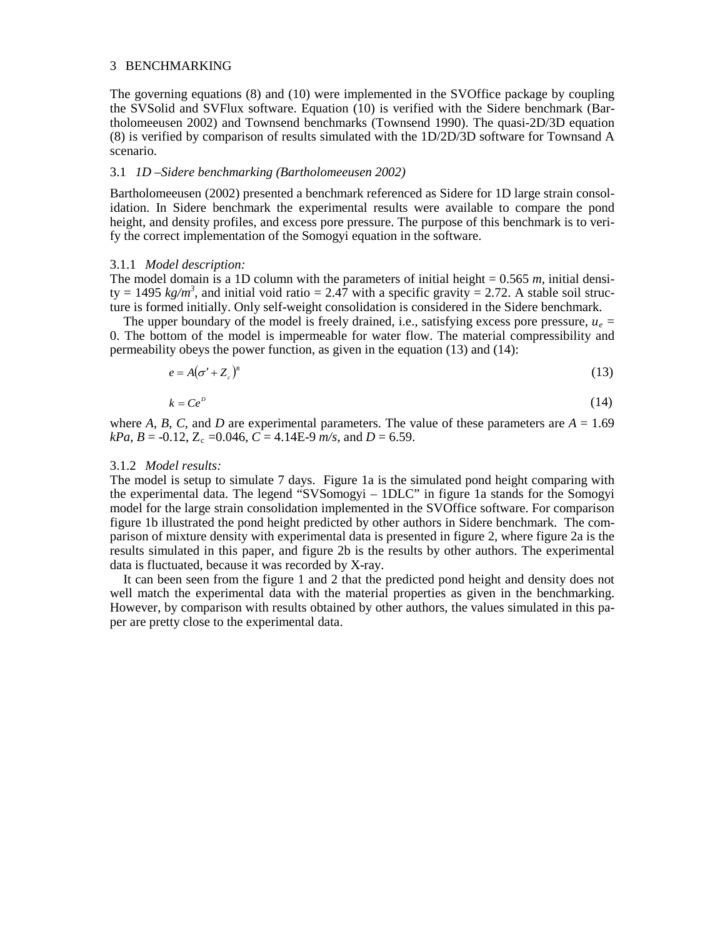### 3 BENCHMARKING

The governing equations (8) and (10) were implemented in the SVOffice package by coupling the SVSolid and SVFlux software. Equation (10) is verified with the Sidere benchmark (Bartholomeeusen 2002) and Townsend benchmarks (Townsend 1990). The quasi-2D/3D equation (8) is verified by comparison of results simulated with the 1D/2D/3D software for Townsand A scenario.

## 3.1 *1D –Sidere benchmarking (Bartholomeeusen 2002)*

Bartholomeeusen (2002) presented a benchmark referenced as Sidere for 1D large strain consolidation. In Sidere benchmark the experimental results were available to compare the pond height, and density profiles, and excess pore pressure. The purpose of this benchmark is to verify the correct implementation of the Somogyi equation in the software.

#### 3.1.1 *Model description:*

The model domain is a 1D column with the parameters of initial height  $= 0.565$  *m*, initial density = 1495  $kg/m^3$ , and initial void ratio = 2.47 with a specific gravity = 2.72. A stable soil structure is formed initially. Only self-weight consolidation is considered in the Sidere benchmark.

The upper boundary of the model is freely drained, i.e., satisfying excess pore pressure,  $u_e$ 0. The bottom of the model is impermeable for water flow. The material compressibility and permeability obeys the power function, as given in the equation (13) and (14):

$$
e = A(\sigma' + Z_c)^B \tag{13}
$$

$$
k = Ce^b \tag{14}
$$

where *A*, *B*, *C*, and *D* are experimental parameters. The value of these parameters are  $A = 1.69$  $kPa$ ,  $B = -0.12$ ,  $Z_c = 0.046$ ,  $C = 4.14E-9$  *m/s*, and  $D = 6.59$ .

#### 3.1.2 *Model results:*

The model is setup to simulate 7 days. Figure 1a is the simulated pond height comparing with the experimental data. The legend "SVSomogyi – 1DLC" in figure 1a stands for the Somogyi model for the large strain consolidation implemented in the SVOffice software. For comparison figure 1b illustrated the pond height predicted by other authors in Sidere benchmark. The comparison of mixture density with experimental data is presented in figure 2, where figure 2a is the results simulated in this paper, and figure 2b is the results by other authors. The experimental data is fluctuated, because it was recorded by X-ray.

It can been seen from the figure 1 and 2 that the predicted pond height and density does not well match the experimental data with the material properties as given in the benchmarking. However, by comparison with results obtained by other authors, the values simulated in this paper are pretty close to the experimental data.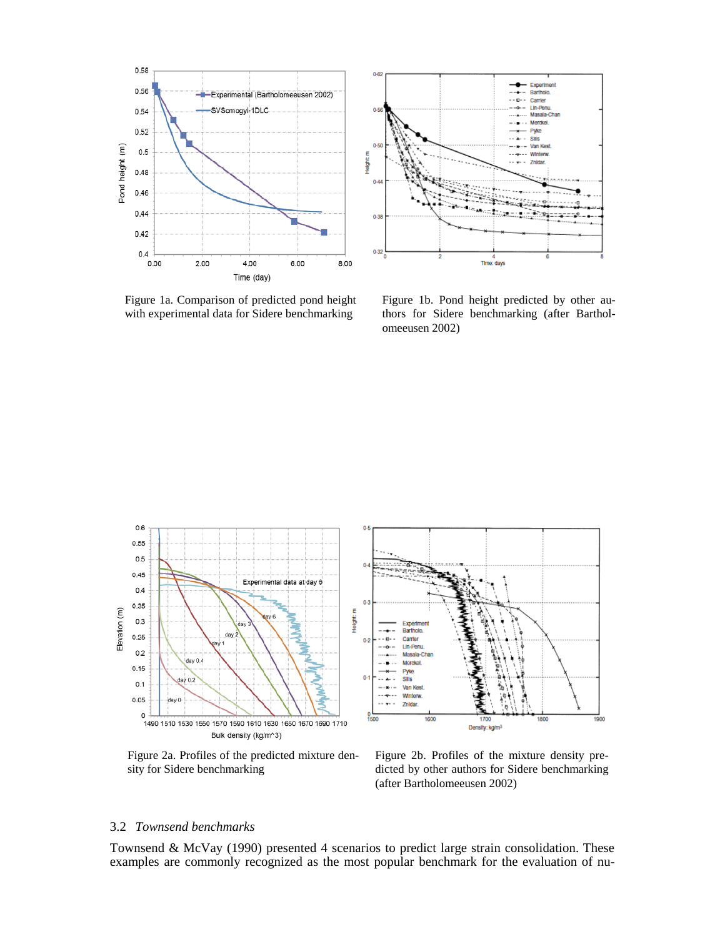



Figure 1a. Comparison of predicted pond height with experimental data for Sidere benchmarking

Figure 1b. Pond height predicted by other authors for Sidere benchmarking (after Bartholomeeusen 2002)



Figure 2a. Profiles of the predicted mixture density for Sidere benchmarking

Figure 2b. Profiles of the mixture density predicted by other authors for Sidere benchmarking (after Bartholomeeusen 2002)

# 3.2 *Townsend benchmarks*

Townsend & McVay (1990) presented 4 scenarios to predict large strain consolidation. These examples are commonly recognized as the most popular benchmark for the evaluation of nu-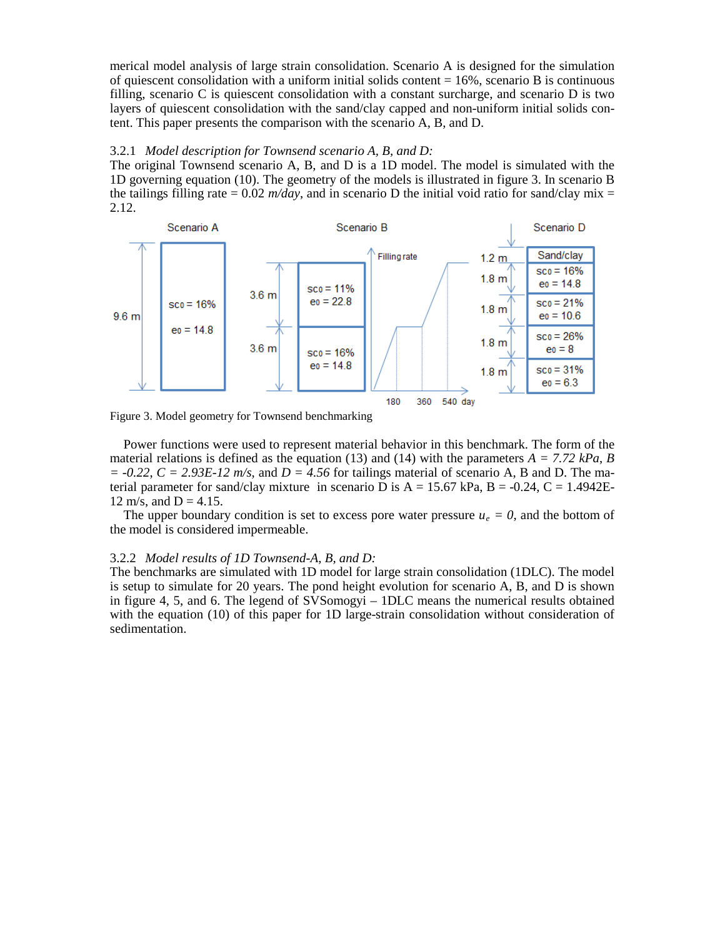merical model analysis of large strain consolidation. Scenario A is designed for the simulation of quiescent consolidation with a uniform initial solids content  $= 16\%$ , scenario B is continuous filling, scenario C is quiescent consolidation with a constant surcharge, and scenario D is two layers of quiescent consolidation with the sand/clay capped and non-uniform initial solids content. This paper presents the comparison with the scenario A, B, and D.

## 3.2.1 *Model description for Townsend scenario A, B, and D:*

The original Townsend scenario A, B, and D is a 1D model. The model is simulated with the 1D governing equation (10). The geometry of the models is illustrated in figure 3. In scenario B the tailings filling rate  $= 0.02$  *m/day*, and in scenario D the initial void ratio for sand/clay mix  $=$ 2.12.



Figure 3. Model geometry for Townsend benchmarking

Power functions were used to represent material behavior in this benchmark. The form of the material relations is defined as the equation (13) and (14) with the parameters  $A = 7.72$  kPa, B  $= -0.22$ ,  $C = 2.93E-12$  m/s, and  $D = 4.56$  for tailings material of scenario A, B and D. The material parameter for sand/clay mixture in scenario D is  $A = 15.67$  kPa,  $B = -0.24$ ,  $C = 1.4942E$ 12 m/s, and  $D = 4.15$ .

The upper boundary condition is set to excess pore water pressure  $u_e = 0$ , and the bottom of the model is considered impermeable.

#### 3.2.2 *Model results of 1D Townsend-A, B, and D:*

The benchmarks are simulated with 1D model for large strain consolidation (1DLC). The model is setup to simulate for 20 years. The pond height evolution for scenario A, B, and D is shown in figure 4, 5, and 6. The legend of SVSomogyi – 1DLC means the numerical results obtained with the equation (10) of this paper for 1D large-strain consolidation without consideration of sedimentation.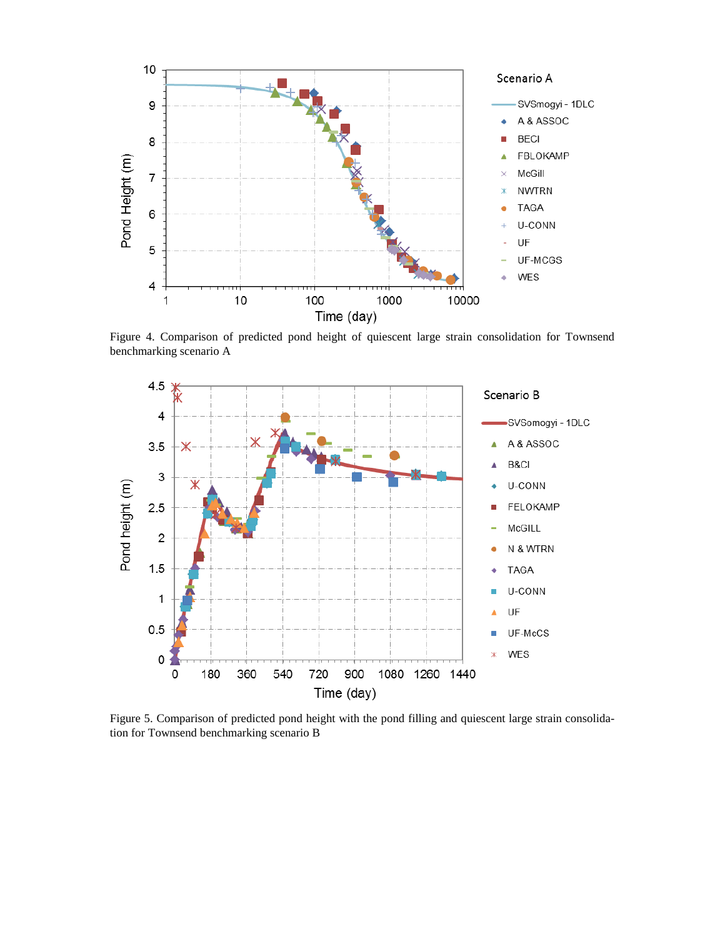

Figure 4. Comparison of predicted pond height of quiescent large strain consolidation for Townsend benchmarking scenario A



Figure 5. Comparison of predicted pond height with the pond filling and quiescent large strain consolidation for Townsend benchmarking scenario B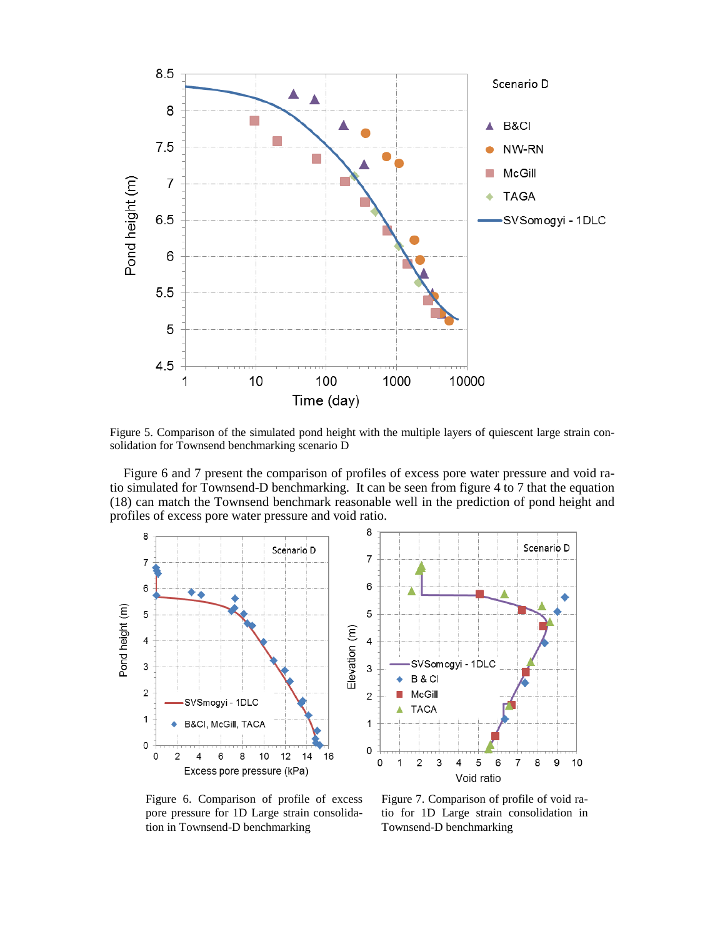

Figure 5. Comparison of the simulated pond height with the multiple layers of quiescent large strain consolidation for Townsend benchmarking scenario D

Figure 6 and 7 present the comparison of profiles of excess pore water pressure and void ratio simulated for Townsend-D benchmarking. It can be seen from figure 4 to 7 that the equation (18) can match the Townsend benchmark reasonable well in the prediction of pond height and profiles of excess pore water pressure and void ratio.



Figure 6. Comparison of profile of excess pore pressure for 1D Large strain consolidation in Townsend-D benchmarking

Figure 7. Comparison of profile of void ratio for 1D Large strain consolidation in Townsend-D benchmarking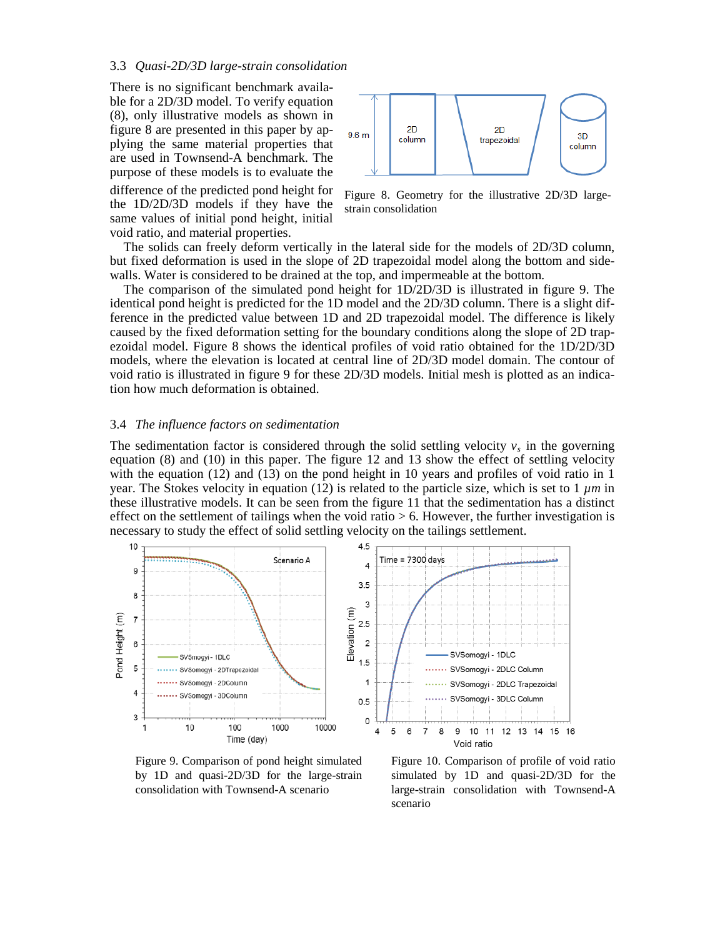## 3.3 *Quasi-2D/3D large-strain consolidation*

There is no significant benchmark available for a 2D/3D model. To verify equation (8), only illustrative models as shown in figure 8 are presented in this paper by applying the same material properties that are used in Townsend-A benchmark. The purpose of these models is to evaluate the difference of the predicted pond height for the 1D/2D/3D models if they have the same values of initial pond height, initial void ratio, and material properties.



Figure 8. Geometry for the illustrative 2D/3D largestrain consolidation

The solids can freely deform vertically in the lateral side for the models of 2D/3D column, but fixed deformation is used in the slope of 2D trapezoidal model along the bottom and sidewalls. Water is considered to be drained at the top, and impermeable at the bottom.

The comparison of the simulated pond height for 1D/2D/3D is illustrated in figure 9. The identical pond height is predicted for the 1D model and the 2D/3D column. There is a slight difference in the predicted value between 1D and 2D trapezoidal model. The difference is likely caused by the fixed deformation setting for the boundary conditions along the slope of 2D trapezoidal model. Figure 8 shows the identical profiles of void ratio obtained for the 1D/2D/3D models, where the elevation is located at central line of 2D/3D model domain. The contour of void ratio is illustrated in figure 9 for these 2D/3D models. Initial mesh is plotted as an indication how much deformation is obtained.

### 3.4 *The influence factors on sedimentation*

The sedimentation factor is considered through the solid settling velocity  $v<sub>s</sub>$  in the governing equation (8) and (10) in this paper. The figure 12 and 13 show the effect of settling velocity with the equation (12) and (13) on the pond height in 10 years and profiles of void ratio in 1 year. The Stokes velocity in equation (12) is related to the particle size, which is set to 1 *µm* in these illustrative models. It can be seen from the figure 11 that the sedimentation has a distinct effect on the settlement of tailings when the void ratio  $> 6$ . However, the further investigation is necessary to study the effect of solid settling velocity on the tailings settlement.



Figure 9. Comparison of pond height simulated by 1D and quasi-2D/3D for the large-strain consolidation with Townsend-A scenario

Figure 10. Comparison of profile of void ratio simulated by 1D and quasi-2D/3D for the large-strain consolidation with Townsend-A scenario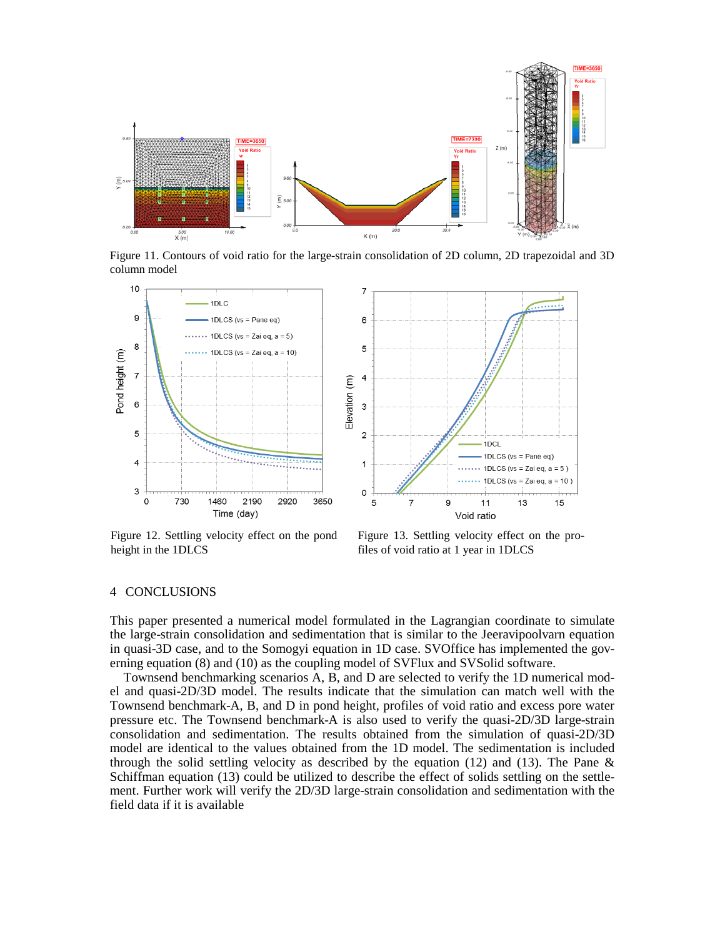

Figure 11. Contours of void ratio for the large-strain consolidation of 2D column, 2D trapezoidal and 3D column model





Figure 12. Settling velocity effect on the pond height in the 1DLCS

Figure 13. Settling velocity effect on the profiles of void ratio at 1 year in 1DLCS

# 4 CONCLUSIONS

This paper presented a numerical model formulated in the Lagrangian coordinate to simulate the large-strain consolidation and sedimentation that is similar to the Jeeravipoolvarn equation in quasi-3D case, and to the Somogyi equation in 1D case. SVOffice has implemented the governing equation (8) and (10) as the coupling model of SVFlux and SVSolid software.

Townsend benchmarking scenarios A, B, and D are selected to verify the 1D numerical model and quasi-2D/3D model. The results indicate that the simulation can match well with the Townsend benchmark-A, B, and D in pond height, profiles of void ratio and excess pore water pressure etc. The Townsend benchmark-A is also used to verify the quasi-2D/3D large-strain consolidation and sedimentation. The results obtained from the simulation of quasi-2D/3D model are identical to the values obtained from the 1D model. The sedimentation is included through the solid settling velocity as described by the equation (12) and (13). The Pane  $\&$ Schiffman equation (13) could be utilized to describe the effect of solids settling on the settlement. Further work will verify the 2D/3D large-strain consolidation and sedimentation with the field data if it is available